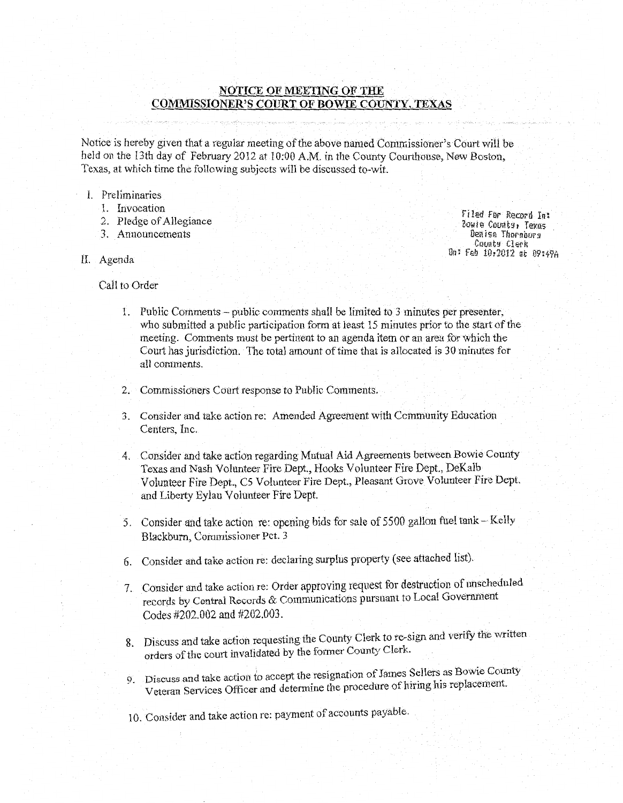# **NOTICE OF MEETING OF THE COMMISSIONER'S COURT OF BOWIE COUNTY, TEXAS**

Notice is hereby given that a regular meeting of the above named Commissioner's Court will be held on the 13th day of February 2012 at 10:00 A.M. in the County Courthouse, New Boston, Texas, at which time the following subjects will be discussed to-wit.

- I. Preliminaries
	- 1. Invocation
	- 2. Pledge of Allegiance
	- 3. Announcements
- II. Agenda

Call to Order

- 1. Public Comments- public comments shall be limited to 3 minutes per presenter, who submitted a public participation form at least 15 minutes prior to the start of the meeting. Comments must be pertinent to an agenda item or an area for which the Court has jurisdiction. The total amount of time that is allocated is 30 minutes for all comments.
- 2. Commissioners Court response to Public Comments.
- 3. Consider and take action re: Amended Agreement with Ccmmunity Education Centers, Inc.
- 4. Consider and take action regarding Mutual Aid Agreements between Bowie County Texas and Nash Volunteer Fire Dept., Hooks Volunteer Fire Dept., DeKalb Volunteer Fire Dept., C5 Volunteer Fire Dept., Pleasant Grove Volunteer Fire Dept. and Liberty Eylau Volunteer Fire Dept.
- 5. Consider and take action re: opening bids for sale of 5500 gallon fuel tank- Kelly Blackburn, Commissioner Pet. 3
- 6. Consider and take action re: declaring surplus property (see attached list).
- 7. Consider and take action re: Order approving request for destruction of unscheduled records by Central Records & Communications pursuant to Local Government Codes #202.002 and #202.003.
- 8. Discuss and take action requesting the County Clerk to re-sign and verify the written orders of the court invalidated by the former County Clerk.
- 9. Discuss and take action to accept the resignation of James Sellers as Bowie County Veteran Services Officer and determine the procedure of hiring his replacement.
- 10. Consider and take action re: payment of accounts payable.

Filed for Record In: Bowie County, Texas Denise Thornburs County Clerk Dn: Feh 10r2012 at 09:4%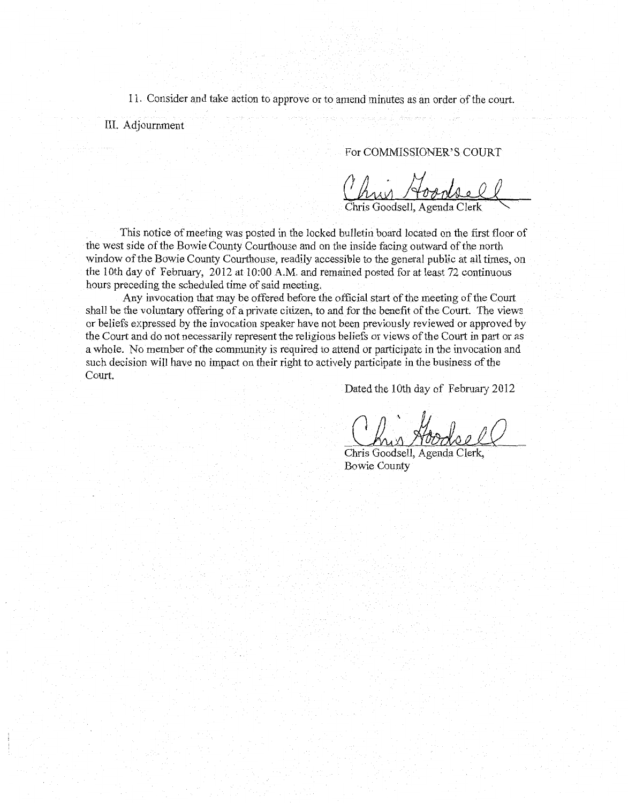11. Consider and take action to approve or to amend minutes as an order of the court.

III. Adjournment

For COMMISSIONER'S COURT

in Ao

. This notice of meeting was posted in the locked bulletin board located on the first floor of the west side of the Bowie County Courthouse and on the inside facing outward of the north window of the Bowie County Courthouse, readily accessible to the general public at all times, on the lOth day of February, 2012 at 10:00 A.M. and remained posted for at least 72 continuous hours preceding the scheduled time of said meeting.

Any invocation that may be offered before the official start of the meeting of the Court shall be the voluntary offering of a private citizen, to and for the benefit of the Court. The views or beliefs expressed by the invocation speaker have not been previously reviewed or approved by the Court and do not necessarily represent the religious beliefs or views of the Court in part or as a whole. No member of the community is required to attend or participate in the invocation and such decision will have no impact on their right to actively participate in the business of the Court.

Dated the 10th day of February 2012

Chris Goodsell, Agenda Clerk, Bowie County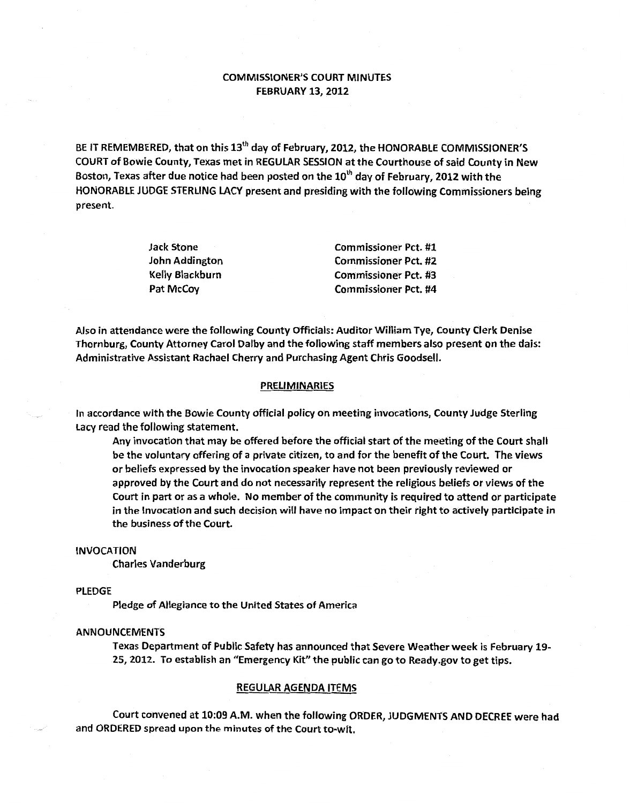# COMMISSIONER'S COURT MINUTES FEBRUARY 13, 2012

BE IT REMEMBERED, that on this 13<sup>th</sup> day of February, 2012, the HONORABLE COMMISSIONER'S COURT of Bowie County, Texas met in REGULAR SESSION at the Courthouse of said County in New Boston, Texas after due notice had been posted on the 10<sup>th</sup> day of February, 2012 with the HONORABLE JUDGE STERLING LACY present and presiding with the following Commissioners being present.

| <b>Jack Stone</b>     | <b>Commissioner Pct. #1</b> |
|-----------------------|-----------------------------|
| <b>John Addington</b> | <b>Commissioner Pct. #2</b> |
| Kelly Blackburn       | <b>Commissioner Pct. #3</b> |
| <b>Pat McCov</b>      | <b>Commissioner Pct. #4</b> |

Also in attendance were the following County Officials: Auditor William Tye, County Clerk Denise Thornburg, County Attorney Carol Dalby and the following staff members also present on the dais: Administrative Assistant Rachael Cherry and Purchasing Agent Chris Goodsell.

## PRELIMINARIES

In accordance with the Bowie County official policy on meeting invocations, County Judge Sterling Lacy read the following statement.

Any invocation that may be offered before the official start of the meeting of the Court shall be the voluntary offering of a private citizen, to and for the benefit of the Court. The views or beliefs expressed by the invocation speaker have not been previously reviewed or approved by the Court and do not necessarily represent the religious beliefs or views of the Court in part or as a whole. No member of the community is required to attend or participate in the Invocation and such decision will have no impact on their right to actively participate in the business of the Court.

#### INVOCATION

Charles Vanderburg

## PLEDGE

Pledge of Allegiance to the United States of America

#### ANNOUNCEMENTS

Texas Department of Public Safety has announced that Severe Weather week is February 19- 25, 2012. To establish an "Emergency Kit" the public can go to Ready.gov to get tips.

#### REGULAR AGENDA ITEMS

Court convened at 10:09 A.M. when the following ORDER, JUDGMENTS AND DECREE were had and ORDERED spread upon the minutes of the Court to-wit.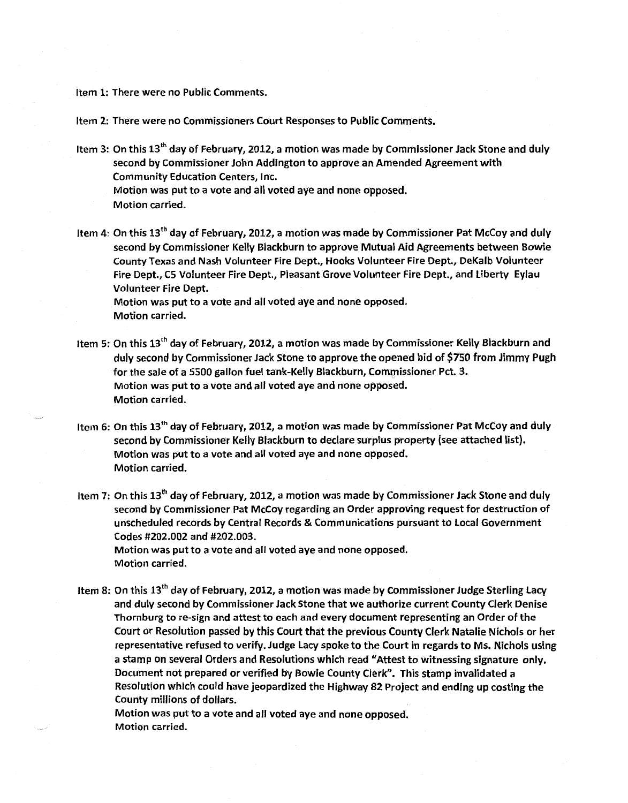Item 1: There were no Public Comments.

Item 2: There were no Commissioners Court Responses to Public Comments.

- Item 3: On this 13<sup>th</sup> day of February, 2012, a motion was made by Commissioner Jack Stone and duly second by Commissioner John Addington to approve an Amended Agreement with Community Education Centers, Inc. Motion was put to a vote and all voted aye and none opposed. Motion carried.
- Item 4: On this 13<sup>th</sup> day of February, 2012, a motion was made by Commissioner Pat McCoy and duly second by Commissioner Kelly Blackburn to approve Mutual Aid Agreements between Bowie County Texas and Nash Volunteer Fire Dept., Hooks Volunteer Fire Dept., DeKalb Volunteer Fire Dept., C5 Volunteer Fire Dept., Pleasant Grove Volunteer Fire Dept., and liberty Eylau Volunteer Fire Dept.

Motion was put to a vote and all voted aye and none opposed. Motion carried.

- Item 5: On this 13<sup>th</sup> day of February, 2012, a motion was made by Commissioner Kelly Blackburn and duly second by Commissioner Jack Stone to approve the opened bid of \$750 from Jimmy Pugh for the sale of a 5500 gallon fuel tank-Kelly Blackburn, Commissioner Pet. 3. Motion was put to a vote and all voted aye and none opposed. Motion carried.
- Item 6: On this 13th day of February, 2012, a motion was made by Commissioner Pat McCoy and duly second by Commissioner Kelly Blackburn to declare surplus property (see attached list). Motion was put to a vote and all voted aye and none opposed. Motion carried.
- Item 7: On this 13th day of February, 2012, a motion was made by Commissioner Jack Stone and duly second by Commissioner Pat McCoy regarding an Order approving request for destruction of unscheduled records by Central Records & Communications pursuant to Local Government Codes #202.002 and #202.003. Motion was put to a vote and all voted aye and none opposed.

Motion carried.

Item 8: On this 13<sup>th</sup> day of February, 2012, a motion was made by Commissioner Judge Sterling Lacy and duly second by Commissioner Jack Stone that we authorize current County Clerk Denise Thornburg to re-sign and attest to each and every document representing an Order of the Court or Resolution passed by this Court that the previous County Clerk Natalie Nichols or her representative refused to verify. Judge Lacy spoke to the Court in regards to Ms. Nichols using a stamp on several Orders and Resolutions which read "Attest to witnessing signature only. Document not prepared or verified by Bowie County Clerk". This stamp invalidated a Resolution which could have jeopardized the Highway 82 Project and ending up costing the County millions of dollars.

Motion was put to a vote and all voted aye and none opposed. Motion carried.